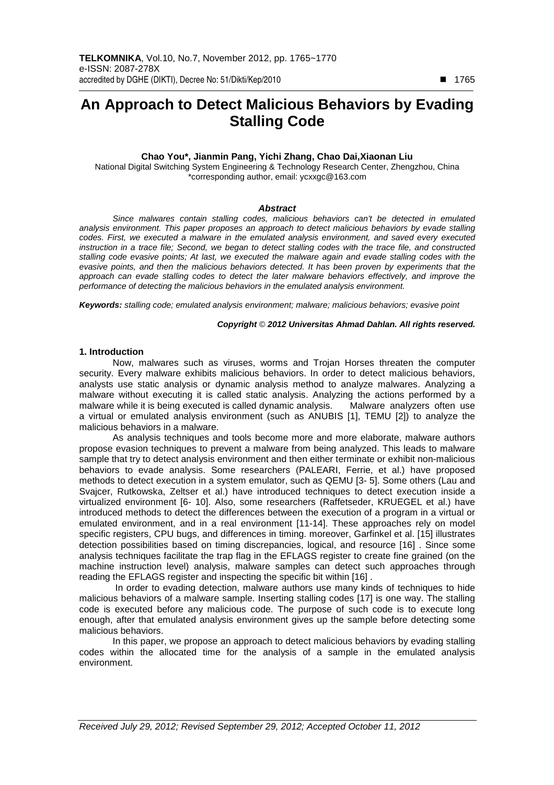# **An Approach to Detect Malicious Behaviors by Evading Stalling Code**

## **Chao You\*, Jianmin Pang, Yichi Zhang, Chao Dai,Xiaonan Liu**

National Digital Switching System Engineering & Technology Research Center, Zhengzhou, China \*corresponding author, email: ycxxgc@163.com

#### **Abstract**

Since malwares contain stalling codes, malicious behaviors can't be detected in emulated analysis environment. This paper proposes an approach to detect malicious behaviors by evade stalling codes. First, we executed a malware in the emulated analysis environment, and saved every executed instruction in a trace file; Second, we began to detect stalling codes with the trace file, and constructed stalling code evasive points; At last, we executed the malware again and evade stalling codes with the evasive points, and then the malicious behaviors detected. It has been proven by experiments that the approach can evade stalling codes to detect the later malware behaviors effectively, and improve the performance of detecting the malicious behaviors in the emulated analysis environment.

**Keywords:** stalling code; emulated analysis environment; malware; malicious behaviors; evasive point

## **Copyright** © **2012 Universitas Ahmad Dahlan. All rights reserved.**

## **1. Introduction**

Now, malwares such as viruses, worms and Trojan Horses threaten the computer security. Every malware exhibits malicious behaviors. In order to detect malicious behaviors, analysts use static analysis or dynamic analysis method to analyze malwares. Analyzing a malware without executing it is called static analysis. Analyzing the actions performed by a malware while it is being executed is called dynamic analysis. Malware analyzers often use a virtual or emulated analysis environment (such as ANUBIS [1], TEMU [2]) to analyze the malicious behaviors in a malware.

As analysis techniques and tools become more and more elaborate, malware authors propose evasion techniques to prevent a malware from being analyzed. This leads to malware sample that try to detect analysis environment and then either terminate or exhibit non-malicious behaviors to evade analysis. Some researchers (PALEARI, Ferrie, et al.) have proposed methods to detect execution in a system emulator, such as QEMU [3- 5]. Some others (Lau and Svajcer, Rutkowska, Zeltser et al.) have introduced techniques to detect execution inside a virtualized environment [6- 10]. Also, some researchers (Raffetseder, KRUEGEL et al.) have introduced methods to detect the differences between the execution of a program in a virtual or emulated environment, and in a real environment [11-14]. These approaches rely on model specific registers, CPU bugs, and differences in timing. moreover, Garfinkel et al. [15] illustrates detection possibilities based on timing discrepancies, logical, and resource [16] . Since some analysis techniques facilitate the trap flag in the EFLAGS register to create fine grained (on the machine instruction level) analysis, malware samples can detect such approaches through reading the EFLAGS register and inspecting the specific bit within [16] .

 In order to evading detection, malware authors use many kinds of techniques to hide malicious behaviors of a malware sample. Inserting stalling codes [17] is one way. The stalling code is executed before any malicious code. The purpose of such code is to execute long enough, after that emulated analysis environment gives up the sample before detecting some malicious behaviors.

In this paper, we propose an approach to detect malicious behaviors by evading stalling codes within the allocated time for the analysis of a sample in the emulated analysis environment.

-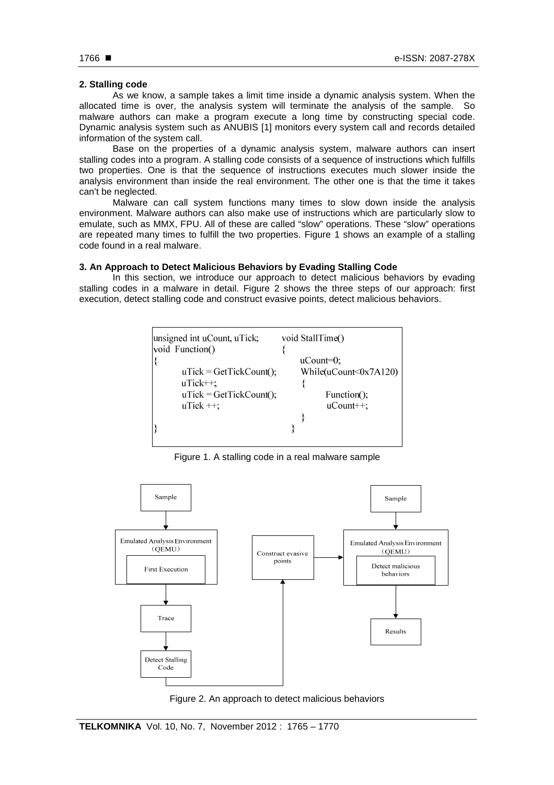## **2. Stalling code**

As we know, a sample takes a limit time inside a dynamic analysis system. When the allocated time is over, the analysis system will terminate the analysis of the sample. So malware authors can make a program execute a long time by constructing special code. Dynamic analysis system such as ANUBIS [1] monitors every system call and records detailed information of the system call.

Base on the properties of a dynamic analysis system, malware authors can insert stalling codes into a program. A stalling code consists of a sequence of instructions which fulfills two properties. One is that the sequence of instructions executes much slower inside the analysis environment than inside the real environment. The other one is that the time it takes can't be neglected.

Malware can call system functions many times to slow down inside the analysis environment. Malware authors can also make use of instructions which are particularly slow to emulate, such as MMX, FPU. All of these are called "slow" operations. These "slow" operations are repeated many times to fulfill the two properties. Figure 1 shows an example of a stalling code found in a real malware.

# **3. An Approach to Detect Malicious Behaviors by Evading Stalling Code**

In this section, we introduce our approach to detect malicious behaviors by evading stalling codes in a malware in detail. Figure 2 shows the three steps of our approach: first execution, detect stalling code and construct evasive points, detect malicious behaviors.



Figure 1. A stalling code in a real malware sample



Figure 2. An approach to detect malicious behaviors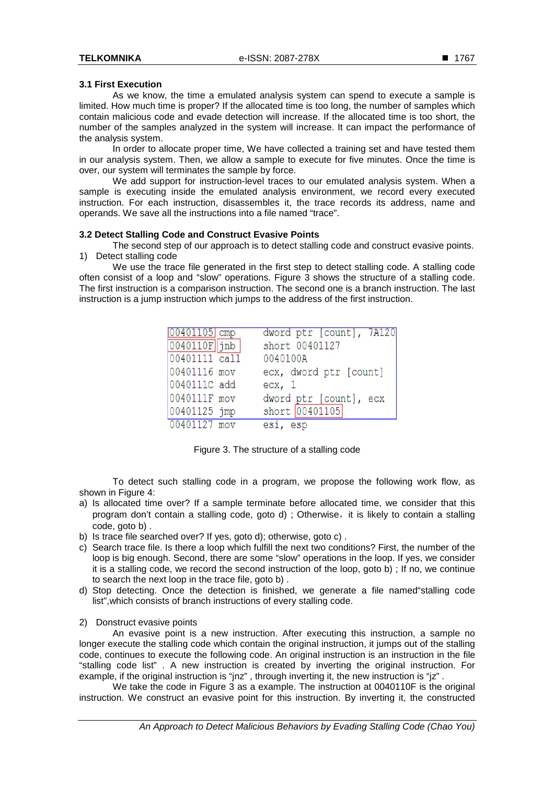# **3.1 First Execution**

As we know, the time a emulated analysis system can spend to execute a sample is limited. How much time is proper? If the allocated time is too long, the number of samples which contain malicious code and evade detection will increase. If the allocated time is too short, the number of the samples analyzed in the system will increase. It can impact the performance of the analysis system.

In order to allocate proper time, We have collected a training set and have tested them in our analysis system. Then, we allow a sample to execute for five minutes. Once the time is over, our system will terminates the sample by force.

We add support for instruction-level traces to our emulated analysis system. When a sample is executing inside the emulated analysis environment, we record every executed instruction. For each instruction, disassembles it, the trace records its address, name and operands. We save all the instructions into a file named "trace".

# **3.2 Detect Stalling Code and Construct Evasive Points**

The second step of our approach is to detect stalling code and construct evasive points. 1) Detect stalling code

We use the trace file generated in the first step to detect stalling code. A stalling code often consist of a loop and "slow" operations. Figure 3 shows the structure of a stalling code. The first instruction is a comparison instruction. The second one is a branch instruction. The last instruction is a jump instruction which jumps to the address of the first instruction.

| $00401105$ cmp | dword ptr [count], 7A120 |
|----------------|--------------------------|
| 0040110F jnb   | short 00401127           |
| 00401111 call  | 0040100A                 |
| 00401116 mov   | ecx, dword ptr [count]   |
| 0040111C add   | ex, 1                    |
| 0040111F mov   | dword ptr [count], ecx   |
| 00401125 jmp   | short 00401105           |
| 00401127 mov   | esi, esp                 |

Figure 3. The structure of a stalling code

To detect such stalling code in a program, we propose the following work flow, as shown in Figure 4:

- a) Is allocated time over? If a sample terminate before allocated time, we consider that this program don't contain a stalling code, goto d) ; Otherwise, it is likely to contain a stalling code, goto b) .
- b) Is trace file searched over? If yes, goto d); otherwise, goto c) .
- c) Search trace file. Is there a loop which fulfill the next two conditions? First, the number of the loop is big enough. Second, there are some "slow" operations in the loop. If yes, we consider it is a stalling code, we record the second instruction of the loop, goto b) ; If no, we continue to search the next loop in the trace file, goto b) .
- d) Stop detecting. Once the detection is finished, we generate a file named"stalling code list",which consists of branch instructions of every stalling code.
- 2) Donstruct evasive points

An evasive point is a new instruction. After executing this instruction, a sample no longer execute the stalling code which contain the original instruction, it jumps out of the stalling code, continues to execute the following code. An original instruction is an instruction in the file "stalling code list" . A new instruction is created by inverting the original instruction. For example, if the original instruction is "jnz" , through inverting it, the new instruction is "jz" .

We take the code in Figure 3 as a example. The instruction at 0040110F is the original instruction. We construct an evasive point for this instruction. By inverting it, the constructed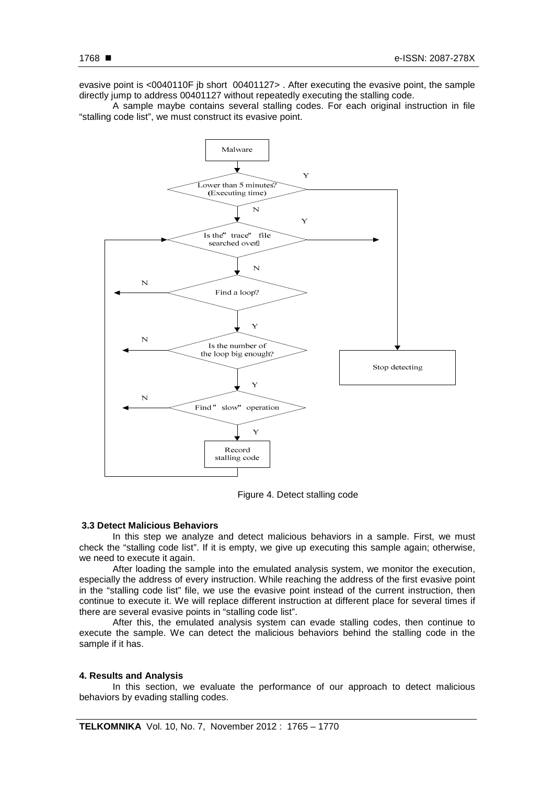evasive point is <0040110F jb short 00401127> . After executing the evasive point, the sample directly jump to address 00401127 without repeatedly executing the stalling code.

A sample maybe contains several stalling codes. For each original instruction in file "stalling code list", we must construct its evasive point.



Figure 4. Detect stalling code

# **3.3 Detect Malicious Behaviors**

In this step we analyze and detect malicious behaviors in a sample. First, we must check the "stalling code list". If it is empty, we give up executing this sample again; otherwise, we need to execute it again.

After loading the sample into the emulated analysis system, we monitor the execution, especially the address of every instruction. While reaching the address of the first evasive point in the "stalling code list" file, we use the evasive point instead of the current instruction, then continue to execute it. We will replace different instruction at different place for several times if there are several evasive points in "stalling code list".

After this, the emulated analysis system can evade stalling codes, then continue to execute the sample. We can detect the malicious behaviors behind the stalling code in the sample if it has.

#### **4. Results and Analysis**

In this section, we evaluate the performance of our approach to detect malicious behaviors by evading stalling codes.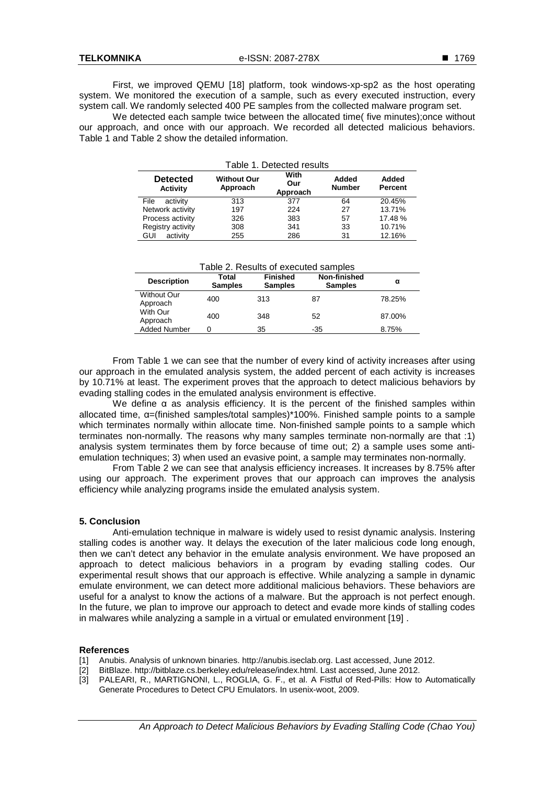First, we improved QEMU [18] platform, took windows-xp-sp2 as the host operating system. We monitored the execution of a sample, such as every executed instruction, every system call. We randomly selected 400 PE samples from the collected malware program set.

We detected each sample twice between the allocated time( five minutes);once without our approach, and once with our approach. We recorded all detected malicious behaviors. Table 1 and Table 2 show the detailed information.

| Table 1. Detected results   |                                |                         |                        |                         |  |  |  |
|-----------------------------|--------------------------------|-------------------------|------------------------|-------------------------|--|--|--|
| <b>Detected</b><br>Activity | <b>Without Our</b><br>Approach | With<br>Our<br>Approach | Added<br><b>Number</b> | Added<br><b>Percent</b> |  |  |  |
| File<br>activity            | 313                            | 377                     | 64                     | 20.45%                  |  |  |  |
| Network activity            | 197                            | 224                     | 27                     | 13.71%                  |  |  |  |
| Process activity            | 326                            | 383                     | 57                     | 17.48 %                 |  |  |  |
| Registry activity           | 308                            | 341                     | 33                     | 10.71%                  |  |  |  |
| activity<br>GUI             | 255                            | 286                     | 31                     | 12.16%                  |  |  |  |

| Table 2. Results of executed samples |                         |                                   |                                |        |  |  |  |
|--------------------------------------|-------------------------|-----------------------------------|--------------------------------|--------|--|--|--|
| <b>Description</b>                   | Total<br><b>Samples</b> | <b>Finished</b><br><b>Samples</b> | Non-finished<br><b>Samples</b> | α      |  |  |  |
| <b>Without Our</b><br>Approach       | 400                     | 313                               | 87                             | 78.25% |  |  |  |
| With Our<br>Approach                 | 400                     | 348                               | 52                             | 87.00% |  |  |  |
| <b>Added Number</b>                  |                         | 35                                | -35                            | 8.75%  |  |  |  |

From Table 1 we can see that the number of every kind of activity increases after using our approach in the emulated analysis system, the added percent of each activity is increases by 10.71% at least. The experiment proves that the approach to detect malicious behaviors by evading stalling codes in the emulated analysis environment is effective.

We define α as analysis efficiency. It is the percent of the finished samples within allocated time, α=(finished samples/total samples)\*100%. Finished sample points to a sample which terminates normally within allocate time. Non-finished sample points to a sample which terminates non-normally. The reasons why many samples terminate non-normally are that :1) analysis system terminates them by force because of time out; 2) a sample uses some antiemulation techniques; 3) when used an evasive point, a sample may terminates non-normally.

From Table 2 we can see that analysis efficiency increases. It increases by 8.75% after using our approach. The experiment proves that our approach can improves the analysis efficiency while analyzing programs inside the emulated analysis system.

# **5. Conclusion**

Anti-emulation technique in malware is widely used to resist dynamic analysis. Instering stalling codes is another way. It delays the execution of the later malicious code long enough, then we can't detect any behavior in the emulate analysis environment. We have proposed an approach to detect malicious behaviors in a program by evading stalling codes. Our experimental result shows that our approach is effective. While analyzing a sample in dynamic emulate environment, we can detect more additional malicious behaviors. These behaviors are useful for a analyst to know the actions of a malware. But the approach is not perfect enough. In the future, we plan to improve our approach to detect and evade more kinds of stalling codes in malwares while analyzing a sample in a virtual or emulated environment [19] .

# **References**

- [1] Anubis. Analysis of unknown binaries. http://anubis.iseclab.org. Last accessed, June 2012.
- 
- [2] BitBlaze. http://bitblaze.cs.berkeley.edu/release/index.html. Last accessed, June 2012.<br>[3] PALEARI, R., MARTIGNONI, L., ROGLIA, G. F., et al. A Fistful of Red-Pills: How to [3] PALEARI, R., MARTIGNONI, L., ROGLIA, G. F., et al. A Fistful of Red-Pills: How to Automatically Generate Procedures to Detect CPU Emulators. In usenix-woot, 2009.